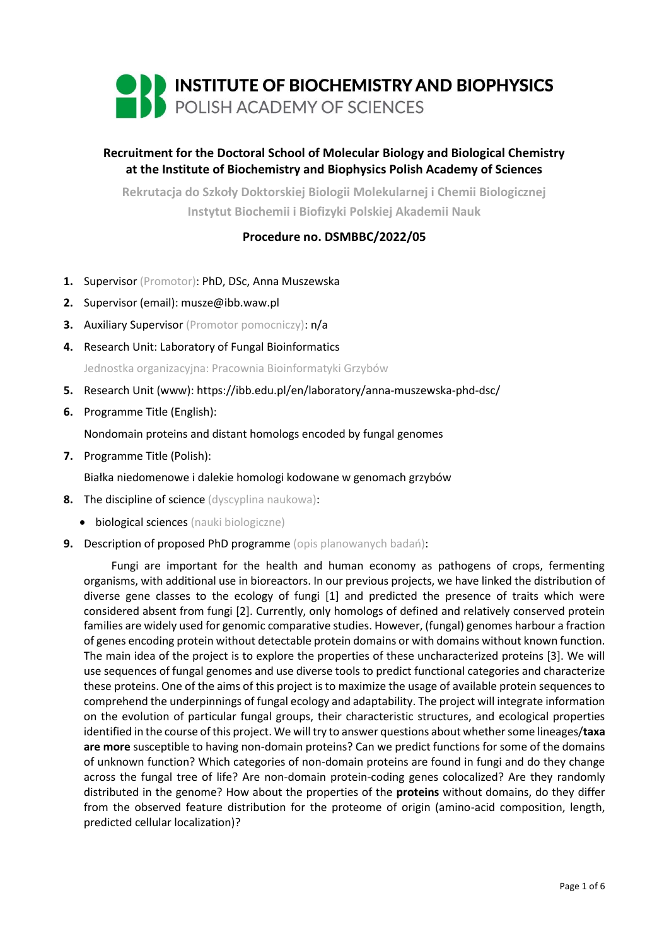

# **Recruitment for the Doctoral School of Molecular Biology and Biological Chemistry at the Institute of Biochemistry and Biophysics Polish Academy of Sciences**

**Rekrutacja do Szkoły Doktorskiej Biologii Molekularnej i Chemii Biologicznej Instytut Biochemii i Biofizyki Polskiej Akademii Nauk**

## **Procedure no. DSMBBC/2022/05**

- **1.** Supervisor (Promotor): PhD, DSc, Anna Muszewska
- **2.** Supervisor (email): musze@ibb.waw.pl
- **3.** Auxiliary Supervisor (Promotor pomocniczy): n/a
- **4.** Research Unit: Laboratory of Fungal Bioinformatics

Jednostka organizacyjna: Pracownia Bioinformatyki Grzybów

- **5.** Research Unit (www): https://ibb.edu.pl/en/laboratory/anna-muszewska-phd-dsc/
- **6.** Programme Title (English):

Nondomain proteins and distant homologs encoded by fungal genomes

**7.** Programme Title (Polish):

Białka niedomenowe i dalekie homologi kodowane w genomach grzybów

- **8.** The discipline of science (dyscyplina naukowa):
	- **•** biological sciences (nauki biologiczne)
- **9.** Description of proposed PhD programme (opis planowanych badań):

Fungi are important for the health and human economy as pathogens of crops, fermenting organisms, with additional use in bioreactors. In our previous projects, we have linked the distribution of diverse gene classes to the ecology of fungi [1] and predicted the presence of traits which were considered absent from fungi [2]. Currently, only homologs of defined and relatively conserved protein families are widely used for genomic comparative studies. However, (fungal) genomes harbour a fraction of genes encoding protein without detectable protein domains or with domains without known function. The main idea of the project is to explore the properties of these uncharacterized proteins [3]. We will use sequences of fungal genomes and use diverse tools to predict functional categories and characterize these proteins. One of the aims of this project is to maximize the usage of available protein sequences to comprehend the underpinnings of fungal ecology and adaptability. The project will integrate information on the evolution of particular fungal groups, their characteristic structures, and ecological properties identified in the course of this project. We will try to answer questions about whether some lineages/**taxa are more** susceptible to having non-domain proteins? Can we predict functions for some of the domains of unknown function? Which categories of non-domain proteins are found in fungi and do they change across the fungal tree of life? Are non-domain protein-coding genes colocalized? Are they randomly distributed in the genome? How about the properties of the **proteins** without domains, do they differ from the observed feature distribution for the proteome of origin (amino-acid composition, length, predicted cellular localization)?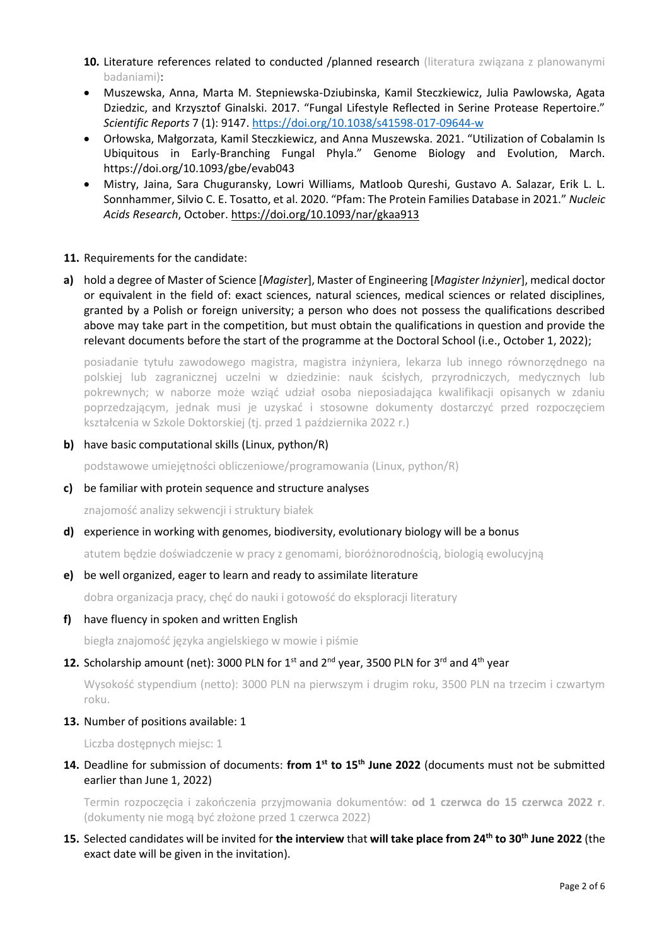- **10.** Literature references related to conducted /planned research (literatura związana z planowanymi badaniami):
- Muszewska, Anna, Marta M. Stepniewska-Dziubinska, Kamil Steczkiewicz, Julia Pawlowska, Agata Dziedzic, and Krzysztof Ginalski. 2017. "Fungal Lifestyle Reflected in Serine Protease Repertoire." *Scientific Reports* 7 (1): 9147.<https://doi.org/10.1038/s41598-017-09644-w>
- Orłowska, Małgorzata, Kamil Steczkiewicz, and Anna Muszewska. 2021. "Utilization of Cobalamin Is Ubiquitous in Early-Branching Fungal Phyla." Genome Biology and Evolution, March. https://doi.org/10.1093/gbe/evab043
- Mistry, Jaina, Sara Chuguransky, Lowri Williams, Matloob Qureshi, Gustavo A. Salazar, Erik L. L. Sonnhammer, Silvio C. E. Tosatto, et al. 2020. "Pfam: The Protein Families Database in 2021." *Nucleic Acids Research*, October[. https://doi.org/10.1093/nar/gkaa913](https://doi.org/10.1093/nar/gkaa913)

### **11.** Requirements for the candidate:

**a)** hold a degree of Master of Science [*Magister*], Master of Engineering [*Magister Inżynier*], medical doctor or equivalent in the field of: exact sciences, natural sciences, medical sciences or related disciplines, granted by a Polish or foreign university; a person who does not possess the qualifications described above may take part in the competition, but must obtain the qualifications in question and provide the relevant documents before the start of the programme at the Doctoral School (i.e., October 1, 2022);

posiadanie tytułu zawodowego magistra, magistra inżyniera, lekarza lub innego równorzędnego na polskiej lub zagranicznej uczelni w dziedzinie: nauk ścisłych, przyrodniczych, medycznych lub pokrewnych; w naborze może wziąć udział osoba nieposiadająca kwalifikacji opisanych w zdaniu poprzedzającym, jednak musi je uzyskać i stosowne dokumenty dostarczyć przed rozpoczęciem kształcenia w Szkole Doktorskiej (tj. przed 1 października 2022 r.)

**b)** have basic computational skills (Linux, python/R)

podstawowe umiejętności obliczeniowe/programowania (Linux, python/R)

### **c)** be familiar with protein sequence and structure analyses

znajomość analizy sekwencji i struktury białek

### **d)** experience in working with genomes, biodiversity, evolutionary biology will be a bonus

atutem będzie doświadczenie w pracy z genomami, bioróżnorodnością, biologią ewolucyjną

### **e)** be well organized, eager to learn and ready to assimilate literature

dobra organizacja pracy, chęć do nauki i gotowość do eksploracji literatury

### **f)** have fluency in spoken and written English

biegła znajomość języka angielskiego w mowie i piśmie

### 12. Scholarship amount (net): 3000 PLN for 1<sup>st</sup> and 2<sup>nd</sup> year, 3500 PLN for 3<sup>rd</sup> and 4<sup>th</sup> year

Wysokość stypendium (netto): 3000 PLN na pierwszym i drugim roku, 3500 PLN na trzecim i czwartym roku.

### **13.** Number of positions available: 1

Liczba dostępnych miejsc: 1

**14.** Deadline for submission of documents: **from 1st to 15th June 2022** (documents must not be submitted earlier than June 1, 2022)

Termin rozpoczęcia i zakończenia przyjmowania dokumentów: **od 1 czerwca do 15 czerwca 2022 r**. (dokumenty nie mogą być złożone przed 1 czerwca 2022)

### **15.** Selected candidates will be invited for **the interview** that **will take place from 24th to 30th June 2022** (the exact date will be given in the invitation).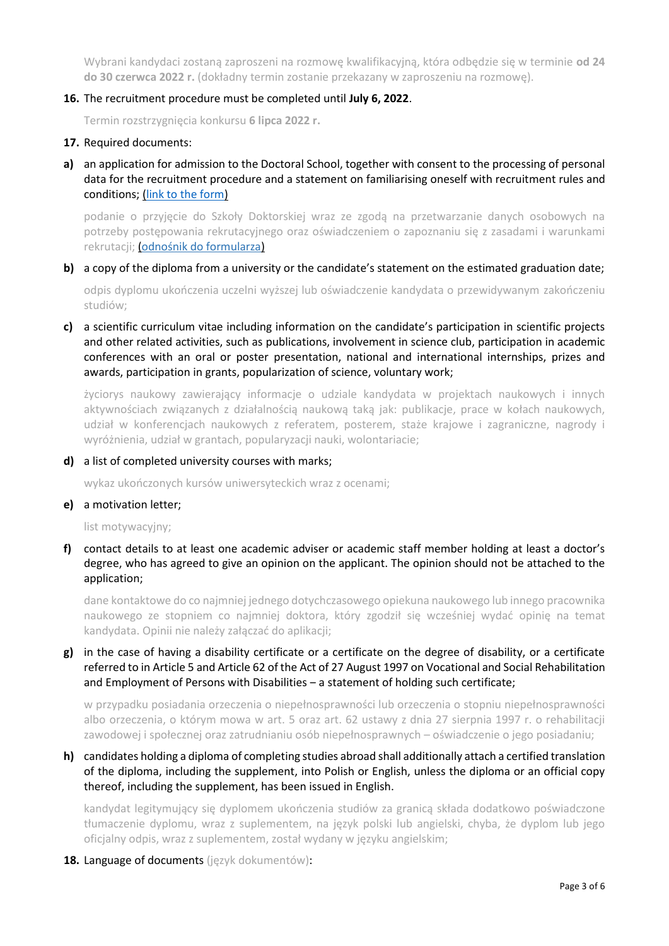Wybrani kandydaci zostaną zaproszeni na rozmowę kwalifikacyjną, która odbędzie się w terminie **od 24 do 30 czerwca 2022 r.** (dokładny termin zostanie przekazany w zaproszeniu na rozmowę).

### **16.** The recruitment procedure must be completed until **July 6, 2022**.

Termin rozstrzygnięcia konkursu **6 lipca 2022 r.**

#### **17.** Required documents:

**a)** an application for admission to the Doctoral School, together with consent to the processing of personal data for the recruitment procedure and a statement on familiarising oneself with recruitment rules and conditions; [\(link to the form\)](https://ibb.edu.pl/app/uploads/2022/05/application-form_doctoralschool_ibb-pas.docx)

podanie o przyjęcie do Szkoły Doktorskiej wraz ze zgodą na przetwarzanie danych osobowych na potrzeby postępowania rekrutacyjnego oraz oświadczeniem o zapoznaniu się z zasadami i warunkami rekrutacji; ([odnośnik do formularza](https://ibb.edu.pl/app/uploads/2022/05/application-form_doctoralschool_ibb-pas.docx))

#### **b)** a copy of the diploma from a university or the candidate's statement on the estimated graduation date;

odpis dyplomu ukończenia uczelni wyższej lub oświadczenie kandydata o przewidywanym zakończeniu studiów;

## **c)** a scientific curriculum vitae including information on the candidate's participation in scientific projects and other related activities, such as publications, involvement in science club, participation in academic conferences with an oral or poster presentation, national and international internships, prizes and awards, participation in grants, popularization of science, voluntary work;

życiorys naukowy zawierający informacje o udziale kandydata w projektach naukowych i innych aktywnościach związanych z działalnością naukową taką jak: publikacje, prace w kołach naukowych, udział w konferencjach naukowych z referatem, posterem, staże krajowe i zagraniczne, nagrody i wyróżnienia, udział w grantach, popularyzacji nauki, wolontariacie;

#### **d)** a list of completed university courses with marks;

wykaz ukończonych kursów uniwersyteckich wraz z ocenami;

#### **e)** a motivation letter;

list motywacyjny;

### **f)** contact details to at least one academic adviser or academic staff member holding at least a doctor's degree, who has agreed to give an opinion on the applicant. The opinion should not be attached to the application;

dane kontaktowe do co najmniej jednego dotychczasowego opiekuna naukowego lub innego pracownika naukowego ze stopniem co najmniej doktora, który zgodził się wcześniej wydać opinię na temat kandydata. Opinii nie należy załączać do aplikacji;

## **g)** in the case of having a disability certificate or a certificate on the degree of disability, or a certificate referred to in Article 5 and Article 62 of the Act of 27 August 1997 on Vocational and Social Rehabilitation and Employment of Persons with Disabilities – a statement of holding such certificate;

w przypadku posiadania orzeczenia o niepełnosprawności lub orzeczenia o stopniu niepełnosprawności albo orzeczenia, o którym mowa w art. 5 oraz art. 62 ustawy z dnia 27 sierpnia 1997 r. o rehabilitacji zawodowej i społecznej oraz zatrudnianiu osób niepełnosprawnych – oświadczenie o jego posiadaniu;

## **h)** candidates holding a diploma of completing studies abroad shall additionally attach a certified translation of the diploma, including the supplement, into Polish or English, unless the diploma or an official copy thereof, including the supplement, has been issued in English.

kandydat legitymujący się dyplomem ukończenia studiów za granicą składa dodatkowo poświadczone tłumaczenie dyplomu, wraz z suplementem, na język polski lub angielski, chyba, że dyplom lub jego oficjalny odpis, wraz z suplementem, został wydany w języku angielskim;

**18.** Language of documents (język dokumentów):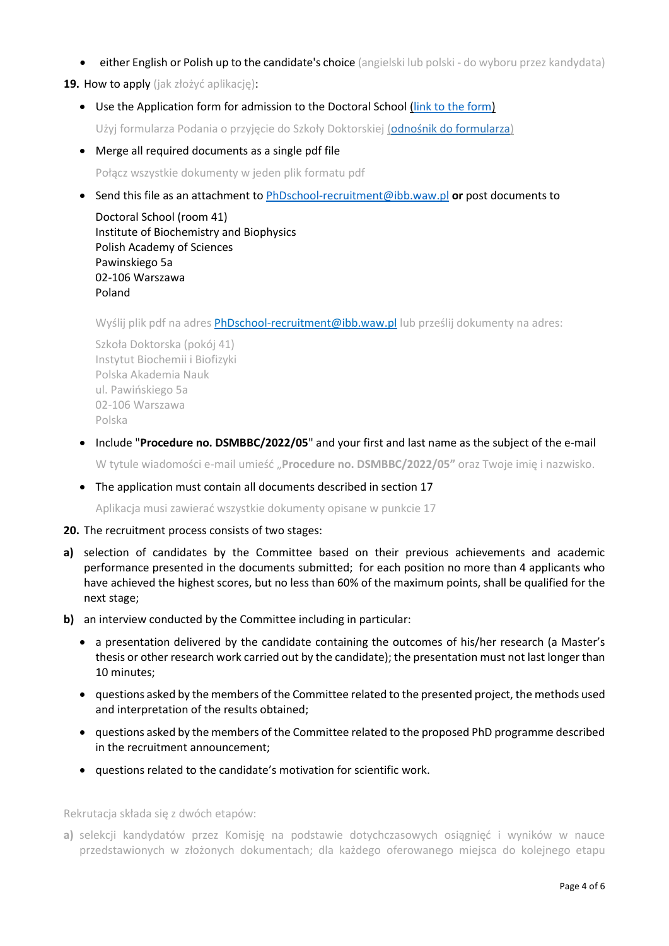**either English or Polish up to the candidate's choice** (angielski lub polski - do wyboru przez kandydata)

**19.** How to apply (jak złożyć aplikację):

Use the Application form for admission to the Doctoral School [\(link to the form\)](https://ibb.edu.pl/app/uploads/2022/05/application-form_doctoralschool_ibb-pas.docx)

Użyj formularza Podania o przyjęcie do Szkoły Doktorskiej ([odnośnik do formularza](https://ibb.edu.pl/app/uploads/2022/05/application-form_doctoralschool_ibb-pas.docx))

Merge all required documents as a single pdf file

Połącz wszystkie dokumenty w jeden plik formatu pdf

Send this file as an attachment to [PhDschool-recruitment@ibb.waw.pl](mailto:PhDschool-recruitment@ibb.waw.pl) **or** post documents to

Doctoral School (room 41) Institute of Biochemistry and Biophysics Polish Academy of Sciences Pawinskiego 5a 02-106 Warszawa Poland

Wyślij plik pdf na adres **[PhDschool-recruitment@ibb.waw.pl](mailto:PhDschool-recruitment@ibb.waw.pl)** lub prześlij dokumenty na adres:

Szkoła Doktorska (pokój 41) Instytut Biochemii i Biofizyki Polska Akademia Nauk ul. Pawińskiego 5a 02-106 Warszawa Polska

Include "**Procedure no. DSMBBC/2022/05**" and your first and last name as the subject of the e-mail

W tytule wiadomości e-mail umieść "**Procedure no. DSMBBC/2022/05"** oraz Twoje imię i nazwisko.

The application must contain all documents described in section 17

Aplikacja musi zawierać wszystkie dokumenty opisane w punkcie 17

#### **20.** The recruitment process consists of two stages:

- **a)** selection of candidates by the Committee based on their previous achievements and academic performance presented in the documents submitted; for each position no more than 4 applicants who have achieved the highest scores, but no less than 60% of the maximum points, shall be qualified for the next stage;
- **b)** an interview conducted by the Committee including in particular:
	- a presentation delivered by the candidate containing the outcomes of his/her research (a Master's thesis or other research work carried out by the candidate); the presentation must not last longer than 10 minutes;
	- questions asked by the members of the Committee related to the presented project, the methods used and interpretation of the results obtained;
	- questions asked by the members of the Committee related to the proposed PhD programme described in the recruitment announcement;
	- questions related to the candidate's motivation for scientific work.

Rekrutacja składa się z dwóch etapów:

**a)** selekcji kandydatów przez Komisję na podstawie dotychczasowych osiągnięć i wyników w nauce przedstawionych w złożonych dokumentach; dla każdego oferowanego miejsca do kolejnego etapu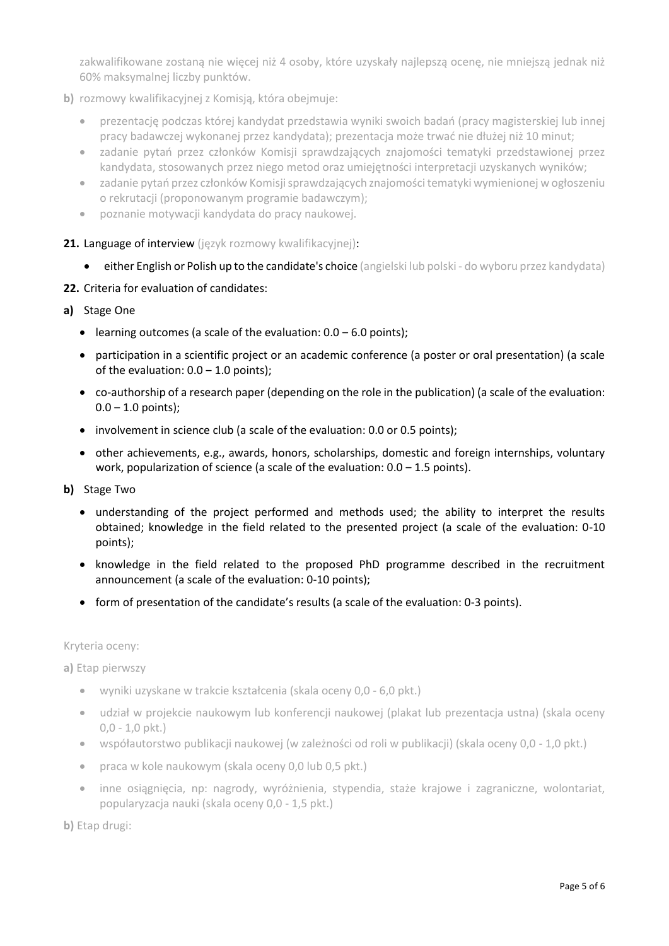zakwalifikowane zostaną nie więcej niż 4 osoby, które uzyskały najlepszą ocenę, nie mniejszą jednak niż 60% maksymalnej liczby punktów.

- **b)** rozmowy kwalifikacyjnej z Komisją, która obejmuje:
	- prezentację podczas której kandydat przedstawia wyniki swoich badań (pracy magisterskiej lub innej pracy badawczej wykonanej przez kandydata); prezentacja może trwać nie dłużej niż 10 minut;
	- zadanie pytań przez członków Komisji sprawdzających znajomości tematyki przedstawionej przez kandydata, stosowanych przez niego metod oraz umiejętności interpretacji uzyskanych wyników;
	- zadanie pytań przez członków Komisji sprawdzających znajomości tematyki wymienionej w ogłoszeniu o rekrutacji (proponowanym programie badawczym);
	- poznanie motywacji kandydata do pracy naukowej.
- 21. Language of interview (język rozmowy kwalifikacyjnej):
	- either English or Polish up to the candidate's choice (angielski lub polski do wyboru przez kandydata)
- **22.** Criteria for evaluation of candidates:

### **a)** Stage One

- learning outcomes (a scale of the evaluation:  $0.0 6.0$  points);
- participation in a scientific project or an academic conference (a poster or oral presentation) (a scale of the evaluation:  $0.0 - 1.0$  points);
- co-authorship of a research paper (depending on the role in the publication) (a scale of the evaluation:  $0.0 - 1.0$  points);
- involvement in science club (a scale of the evaluation: 0.0 or 0.5 points);
- other achievements, e.g., awards, honors, scholarships, domestic and foreign internships, voluntary work, popularization of science (a scale of the evaluation:  $0.0 - 1.5$  points).
- **b)** Stage Two
	- understanding of the project performed and methods used; the ability to interpret the results obtained; knowledge in the field related to the presented project (a scale of the evaluation: 0-10 points);
	- knowledge in the field related to the proposed PhD programme described in the recruitment announcement (a scale of the evaluation: 0-10 points);
	- form of presentation of the candidate's results (a scale of the evaluation: 0-3 points).

### Kryteria oceny:

**a)** Etap pierwszy

- wyniki uzyskane w trakcie kształcenia (skala oceny 0,0 6,0 pkt.)
- udział w projekcie naukowym lub konferencji naukowej (plakat lub prezentacja ustna) (skala oceny 0,0 - 1,0 pkt.)
- współautorstwo publikacji naukowej (w zależności od roli w publikacji) (skala oceny 0,0 1,0 pkt.)
- praca w kole naukowym (skala oceny 0,0 lub 0,5 pkt.)
- inne osiągnięcia, np: nagrody, wyróżnienia, stypendia, staże krajowe i zagraniczne, wolontariat, popularyzacja nauki (skala oceny 0,0 - 1,5 pkt.)

**b)** Etap drugi: